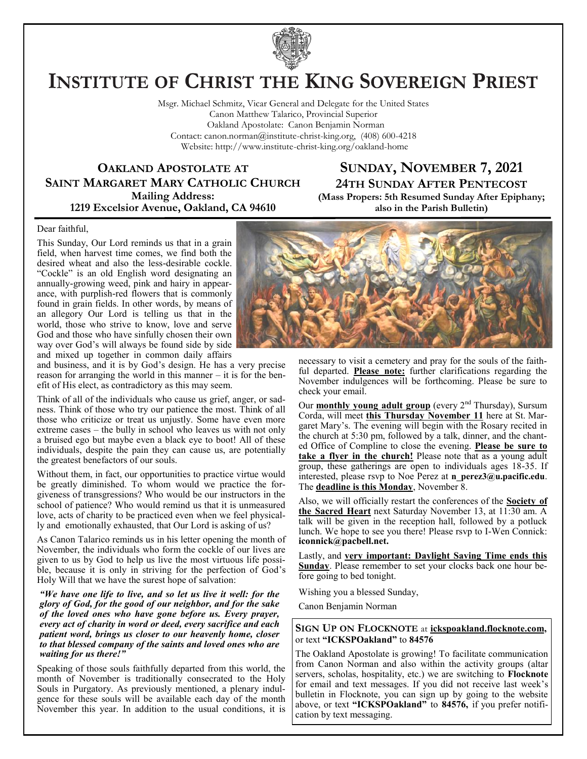

# **INSTITUTE OF CHRIST THE KING SOVEREIGN PRIEST**

Msgr. Michael Schmitz, Vicar General and Delegate for the United States Canon Matthew Talarico, Provincial Superior Oakland Apostolate: Canon Benjamin Norman Contact: canon.norman@institute-christ-king.org, (408) 600-4218 Website: http://www.institute-christ-king.org/oakland-home

**OAKLAND APOSTOLATE AT SAINT MARGARET MARY CATHOLIC CHURCH Mailing Address: 1219 Excelsior Avenue, Oakland, CA 94610**

## **SUNDAY, NOVEMBER 7, 2021 24TH SUNDAY AFTER PENTECOST (Mass Propers: 5th Resumed Sunday After Epiphany;**

Dear faithful,

This Sunday, Our Lord reminds us that in a grain field, when harvest time comes, we find both the desired wheat and also the less-desirable cockle. "Cockle" is an old English word designating an annually-growing weed, pink and hairy in appearance, with purplish-red flowers that is commonly found in grain fields. In other words, by means of an allegory Our Lord is telling us that in the world, those who strive to know, love and serve God and those who have sinfully chosen their own way over God's will always be found side by side and mixed up together in common daily affairs

and business, and it is by God's design. He has a very precise reason for arranging the world in this manner  $-$  it is for the benefit of His elect, as contradictory as this may seem.

Think of all of the individuals who cause us grief, anger, or sadness. Think of those who try our patience the most. Think of all those who criticize or treat us unjustly. Some have even more extreme cases – the bully in school who leaves us with not only a bruised ego but maybe even a black eye to boot! All of these individuals, despite the pain they can cause us, are potentially the greatest benefactors of our souls.

Without them, in fact, our opportunities to practice virtue would be greatly diminished. To whom would we practice the forgiveness of transgressions? Who would be our instructors in the school of patience? Who would remind us that it is unmeasured love, acts of charity to be practiced even when we feel physically and emotionally exhausted, that Our Lord is asking of us?

As Canon Talarico reminds us in his letter opening the month of November, the individuals who form the cockle of our lives are given to us by God to help us live the most virtuous life possible, because it is only in striving for the perfection of God's Holy Will that we have the surest hope of salvation:

*"We have one life to live, and so let us live it well: for the glory of God, for the good of our neighbor, and for the sake of the loved ones who have gone before us. Every prayer, every act of charity in word or deed, every sacrifice and each patient word, brings us closer to our heavenly home, closer to that blessed company of the saints and loved ones who are waiting for us there!"* 

Speaking of those souls faithfully departed from this world, the month of November is traditionally consecrated to the Holy Souls in Purgatory. As previously mentioned, a plenary indulgence for these souls will be available each day of the month November this year. In addition to the usual conditions, it is





necessary to visit a cemetery and pray for the souls of the faithful departed. **Please note:** further clarifications regarding the November indulgences will be forthcoming. Please be sure to check your email.

Our **monthly young adult group** (every 2<sup>nd</sup> Thursday), Sursum Corda, will meet **this Thursday November 11** here at St. Margaret Mary's. The evening will begin with the Rosary recited in the church at 5:30 pm, followed by a talk, dinner, and the chanted Office of Compline to close the evening. **Please be sure to take a flyer in the church!** Please note that as a young adult group, these gatherings are open to individuals ages 18-35. If interested, please rsvp to Noe Perez at **[n\\_perez3@u.pacific.edu](mailto:n_perez3@u.pacific.edu)**. The **deadline is this Monday**, November 8.

Also, we will officially restart the conferences of the **Society of the Sacred Heart** next Saturday November 13, at 11:30 am. A talk will be given in the reception hall, followed by a potluck lunch. We hope to see you there! Please rsvp to I-Wen Connick: **iconnick@pacbell.net.**

Lastly, and **very important: Daylight Saving Time ends this Sunday**. Please remember to set your clocks back one hour before going to bed tonight.

Wishing you a blessed Sunday,

Canon Benjamin Norman

#### **SIGN UP ON FLOCKNOTE** at **ickspoakland.flocknote.com,**  or text **"ICKSPOakland"** to **84576**

The Oakland Apostolate is growing! To facilitate communication from Canon Norman and also within the activity groups (altar servers, scholas, hospitality, etc.) we are switching to **Flocknote** for email and text messages. If you did not receive last week's bulletin in Flocknote, you can sign up by going to the website above, or text **"ICKSPOakland"** to **84576,** if you prefer notification by text messaging.